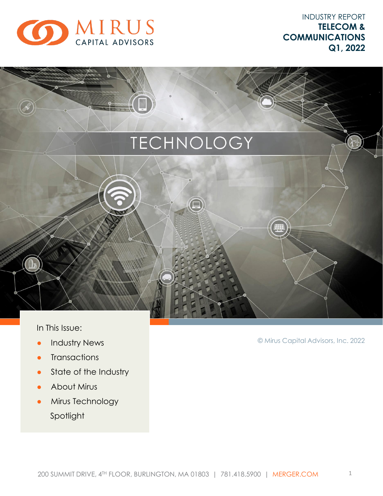

INDUSTRY REPORT **TELECOM & COMMUNICATIONS Q1, 2022**

# TECHNOLOGY

In This Issue:

- **•** Industry News
- Transactions
- State of the Industry
- About Mirus
- **•** Mirus Technology Spotlight

© Mirus Capital Advisors, Inc. 2022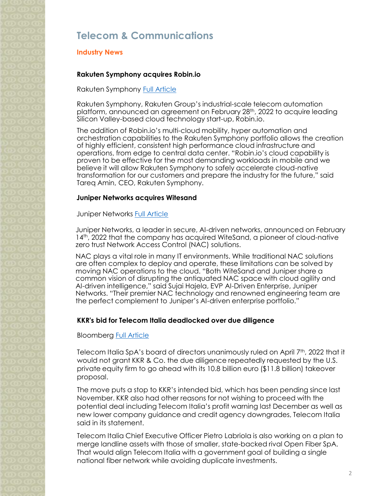## **Telecom & Communications**

#### **Industry News**

#### **Rakuten Symphony acquires Robin.io**

Rakuten Symphony **[Full Article](https://symphony.rakuten.com/newsroom/rakuten-symphony-agrees-to-acquire-leading-us-based-cloud-technology-company-robin-io-to-deliver-highly-integrated-telco-cloud-for-mobile)** 

Rakuten Symphony, Rakuten Group's industrial-scale telecom automation platform, announced an agreement on February 28<sup>th</sup>, 2022 to acquire leading Silicon Valley-based cloud technology start-up, Robin.io.

The addition of Robin.io's multi-cloud mobility, hyper automation and orchestration capabilities to the Rakuten Symphony portfolio allows the creation of highly efficient, consistent high performance cloud infrastructure and operations, from edge to central data center. "Robin.io's cloud capability is proven to be effective for the most demanding workloads in mobile and we believe it will allow Rakuten Symphony to safely accelerate cloud-native transformation for our customers and prepare the industry for the future," said Tareq Amin, CEO, Rakuten Symphony.

#### **Juniper Networks acquires Witesand**

Juniper Networks [Full Article](https://newsroom.juniper.net/news/news-details/2022/Juniper-Networks-Announces-Acquisition-of-WiteSand/default.aspx)

Juniper Networks, a leader in secure, AI-driven networks, announced on February 14<sup>th</sup>, 2022 that the company has acquired WiteSand, a pioneer of cloud-native zero trust Network Access Control (NAC) solutions.

NAC plays a vital role in many IT environments. While traditional NAC solutions are often complex to deploy and operate, these limitations can be solved by moving NAC operations to the cloud. "Both WiteSand and Juniper share a common vision of disrupting the antiquated NAC space with cloud agility and AI-driven intelligence," said Sujai Hajela, EVP AI-Driven Enterprise, Juniper Networks. "Their premier NAC technology and renowned engineering team are the perfect complement to Juniper's AI-driven enterprise portfolio."

#### **KKR's bid for Telecom Italia deadlocked over due diligence**

Bloomberg [Full Article](https://www.bloomberg.com/news/articles/2022-04-07/telecom-italia-board-stops-kkr-bid-by-not-granting-due-diligence)

Telecom Italia SpA's board of directors unanimously ruled on April 7<sup>th</sup>, 2022 that it would not grant KKR & Co. the due diligence repeatedly requested by the U.S. private equity firm to go ahead with its 10.8 billion euro (\$11.8 billion) takeover proposal.

The move puts a stop to KKR's intended bid, which has been pending since last November. KKR also had other reasons for not wishing to proceed with the potential deal including Telecom Italia's profit warning last December as well as new lower company guidance and credit agency downgrades, Telecom Italia said in its statement.

Telecom Italia Chief Executive Officer Pietro Labriola is also working on a plan to merge landline assets with those of smaller, state-backed rival Open Fiber SpA. That would align Telecom Italia with a government goal of building a single national fiber network while avoiding duplicate investments.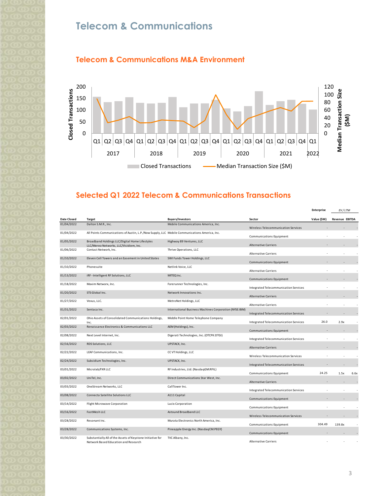# **Telecom & Communications**





### **Selected Q1 2022 Telecom & Communications Transactions**

|                    |                                                                                                    |                                                        |                                                         | <b>Enterprise</b> | EV/LTM                |      |
|--------------------|----------------------------------------------------------------------------------------------------|--------------------------------------------------------|---------------------------------------------------------|-------------------|-----------------------|------|
| <b>Date Closed</b> | <b>Target</b>                                                                                      | <b>Buyers/Investors</b>                                | Sector                                                  | Value (\$M)       | <b>Revenue EBITDA</b> |      |
| 01/04/2022         | Dalton S.M.R., Inc.                                                                                | Mobile Communications America, Inc.                    | Wireless Telecommunication Services                     |                   |                       |      |
| 01/04/2022         | All Points Communications of Austin, L.P./Now Supply, LLC Mobile Communications America, Inc.      |                                                        | Communications Equipment                                |                   |                       |      |
| 01/05/2022         | Broadband Holdings LLC/Digital Home Lifestyles<br>LLC/Mereo Networks, LLC/Vicidiem, Inc.           | Highway 89 Ventures, LLC                               | <b>Alternative Carriers</b>                             |                   |                       |      |
| 01/06/2022         | Contact Network, Inc.                                                                              | Thrive Operations, LLC                                 | <b>Alternative Carriers</b>                             |                   |                       |      |
| 01/10/2022         | Eleven Cell Towers and an Easement in United States                                                | SWI Funds Tower Holdings, LLC                          | Communications Equipment                                |                   |                       |      |
| 01/10/2022         | Phonesuite                                                                                         | Netlink Voice, LLC                                     |                                                         |                   |                       |      |
| 01/13/2022         | iRF - Intelligent RF Solutions, LLC                                                                | MITEQ Inc.                                             | <b>Alternative Carriers</b>                             |                   |                       |      |
| 01/18/2022         | Maxim Networx, Inc.                                                                                | Forerunner Technologies, Inc.                          | Communications Equipment                                |                   |                       |      |
| 01/20/2022         | STS Global Inc.                                                                                    | Network Innovations Inc.                               | Integrated Telecommunication Services                   |                   |                       |      |
| 01/27/2022         | Vexus, LLC.                                                                                        | MetroNet Holdings, LLC                                 | <b>Alternative Carriers</b>                             |                   |                       |      |
| 01/31/2022         | Sentaca Inc.                                                                                       | International Business Machines Corporation (NYSE:IBM) | <b>Alternative Carriers</b>                             |                   |                       |      |
| 02/01/2022         | Ohio Assets of Consolidated Communications Holdings,                                               | Middle Point Home Telephone Company                    | Integrated Telecommunication Services                   |                   |                       |      |
| 02/03/2022         | Inc.<br>Renaissance Electronics & Communications LLC                                               | AEM (Holdings), Inc.                                   | Integrated Telecommunication Services                   | 26.0              | 2.9x                  |      |
|                    |                                                                                                    |                                                        | <b>Communications Equipment</b>                         |                   |                       |      |
| 02/08/2022         | Next Level Internet, Inc.                                                                          | Digerati Technologies, Inc. (OTCPK:DTGI)               | Integrated Telecommunication Services                   |                   |                       |      |
| 02/16/2022         | RDS Solutions, LLC                                                                                 | UPSTACK, Inc.                                          | <b>Alternative Carriers</b>                             |                   |                       |      |
| 02/22/2022         | LEAF Communications, Inc.                                                                          | CC VT Holdings, LLC                                    | Wireless Telecommunication Services                     |                   |                       |      |
| 02/24/2022         | Subsidium Technologies, Inc.                                                                       | UPSTACK, Inc.                                          | Integrated Telecommunication Services                   |                   |                       |      |
| 03/01/2022         | Microlab/FXR LLC                                                                                   | RF Industries, Ltd. (NasdaqGM:RFIL)                    | Communications Equipment                                | 24.25             | 1.5x                  | 6.6x |
| 03/02/2022         | UniTel, Inc.                                                                                       | Direct Communications Star West, Inc.                  | <b>Alternative Carriers</b>                             |                   |                       |      |
| 03/03/2022         | OneStream Networks, LLC                                                                            | CallTower Inc.                                         | Integrated Telecommunication Services                   |                   |                       |      |
| 03/08/2022         | Connecta Satellite Solutions LLC                                                                   | A111 Capital                                           | Communications Equipment                                |                   |                       |      |
| 03/14/2022         | Flight Microwave Corporation                                                                       | Lucix Corporation                                      | Communications Equipment                                |                   |                       |      |
| 03/16/2022         | FastMesh LLC                                                                                       | Astound Broadband LLC                                  | Wireless Telecommunication Services                     |                   |                       |      |
| 03/28/2022         | Resonant Inc.                                                                                      | Murata Electronics North America, Inc.                 |                                                         | 304.49            |                       |      |
| 03/28/2022         | Communications Systems, Inc.                                                                       | Pineapple Energy Inc. (NasdaqCM:PEGY)                  | Communications Equipment                                |                   | 139.8x                |      |
| 03/30/2022         | Substantially All of the Assets of Keystone Initiative for<br>Network Based Education and Research | TVC Albany, Inc.                                       | Communications Equipment<br><b>Alternative Carriers</b> |                   |                       |      |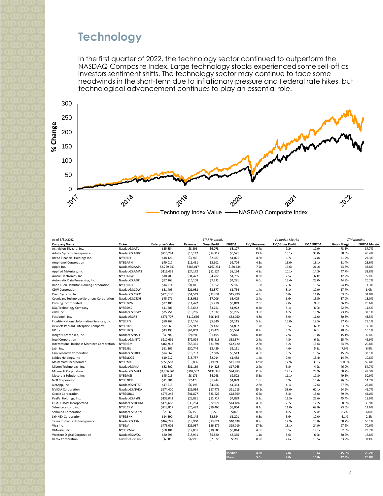# **Technology**

In the first quarter of 2022, the technology sector continued to outperform the NASDAQ Composite Index. Large technology stocks experienced some sell-off as investors sentiment shifts. The technology sector may continue to face some headwinds in the short-term due to inflationary pressure and Federal rate hikes, but technological advancement continues to play an essential role.



| As of 3/31/2022                              |               |                         | <b>LTM Financials</b> |                     |           | <b>Valuation Metrics</b> |                   | <b>LTM Margins</b> |                     |                      |
|----------------------------------------------|---------------|-------------------------|-----------------------|---------------------|-----------|--------------------------|-------------------|--------------------|---------------------|----------------------|
| <b>Company Name</b>                          | Ticker        | <b>Enterprise Value</b> | Revenue               | <b>Gross Profit</b> | EBITDA    | EV / Revenue             | EV / Gross Profit | EV / EBITDA        | <b>Gross Margin</b> | <b>EBITDA Margin</b> |
| Activision Blizzard, Inc.                    | NasdaqGS:ATVI | \$55,854                | \$8,296               | \$6,078             | \$3,127   | 6.7x                     | 9.2x              | 17.9x              | 73.3%               | 37.7%                |
| Adobe Systems Incorporated                   | NasdagGS:ADBE | \$215,244               | \$16,142              | \$14,212            | \$6,521   | 13.3x                    | 15.1x             | 33.0x              | 88.0%               | 40.4%                |
| Bread Financial Holdings Inc.                | NYSE:BFH      | \$18,126                | \$3,746               | \$2,687             | \$1,021   | 4.8x                     | 6.7x              | 17.8x              | 71.7%               | 27.3%                |
| Amphenol Corporation                         | NYSE:APH      | \$49,017                | \$11,451              | \$3,601             | \$2,704   | 4.3x                     | 13.6x             | 18.1x              | 31.4%               | 23.6%                |
| Apple Inc.                                   | NasdaqGS:AAPL | \$2,769,740             | \$386,017             | \$167,231           | \$130,634 | 7.2x                     | 16.6x             | 21.2x              | 43.3%               | 33.8%                |
| Applied Materials, Inc.                      | NasdagGS:AMAT | \$116,451               | \$24,172              | \$11,524            | \$8,164   | 4.8x                     | 10.1x             | 14.3x              | 47.7%               | 33.8%                |
| Arrow Electronics, Inc.                      | NYSE:ARW      | \$10,703                | \$34,477              | \$4,202             | \$1,755   | 0.3x                     | 2.5x              | 6.1x               | 12.2%               | 5.1%                 |
| Automatic Data Processing, Inc.              | NasdagGS:ADP  | \$97,263                | \$16,108              | \$7,232             | \$4,221   | 6.0x                     | 13.4x             | 23.0x              | 44.9%               | 26.2%                |
| Booz Allen Hamilton Holding Corporation      | NYSE:BAH      | \$14,214                | \$8,105               | \$1,952             | \$916     | 1.8x                     | 7.3x              | 15.5x              | 24.1%               | 11.3%                |
| <b>CDW Corporation</b>                       | NasdagGS:CDW  | \$31,405                | \$21,932              | \$3,877             | \$1,754   | 1.4x                     | 8.1x              | 17.9x              | 17.7%               | 8.0%                 |
| Cisco Systems, Inc.                          | NasdagGS:CSCO | \$223,130               | \$51,549              | \$32,631            | \$15,990  | 4.3x                     | 6.8x              | 14.0x              | 63.3%               | 31.0%                |
| Cognizant Technology Solutions Corporation   | NasdagGS:CTSH | \$45,971                | \$18,932              | \$7,006             | \$3,405   | 2.4x                     | 6.6x              | 13.5x              | 37.0%               | 18.0%                |
| Corning Incorporated                         | NYSE:GLW      | \$37,106                | \$14,472              | \$5,270             | \$3,849   | 2.6x                     | 7.0x              | 9.6x               | 36.4%               | 26.6%                |
| DXC Technology Company                       | NYSE:DXC      | \$11,506                | \$16,642              | \$3,751             | \$1,922   | 0.7x                     | 3.1x              | 6.0x               | 22.5%               | 11.5%                |
| eBay Inc.                                    | NasdaqGS:EBAY | \$35,751                | \$10,265              | \$7,532             | \$3,295   | 3.5x                     | 4.7x              | 10.9x              | 73.4%               | 32.1%                |
| Facebook, Inc.                               | NasdaqGS:FB   | \$571,707               | \$119,666             | \$96,143            | \$52,050  | 4.8x                     | 5.9x              | 11.0x              | 80.3%               | 43.5%                |
| Fidelity National Information Services, Inc. | NYSE:FIS      | \$80,267                | \$14,146              | \$5,340             | \$4,115   | 5.7x                     | 15.0x             | 19.5x              | 37.7%               | 29.1%                |
| Hewlett Packard Enterprise Company           | NYSE:HPE      | \$32,969                | \$27,912              | \$9,432             | \$4,837   | 1.2x                     | 3.5x              | 6.8x               | 33.8%               | 17.3%                |
| HP Inc.                                      | NYSE:HPQ      | \$43,193                | \$64,869              | \$13,478            | \$6,584   | 0.7x                     | 3.2x              | 6.6x               | 20.8%               | 10.1%                |
| Insight Enterprises, Inc.                    | NasdagGS:NSIT | \$4,394                 | \$9,894               | \$1,495             | \$406     | 0.4x                     | 2.9x              | 10.8x              | 15.1%               | 4.1%                 |
| Intel Corporation                            | NasdaqGS:INTC | \$210,691               | \$79,024              | \$43,815            | \$33,874  | 2.7x                     | 4.8x              | 6.2x               | 55.4%               | 42.9%                |
| International Business Machines Corporation  | NYSE:IBM      | \$164,913               | \$58,361              | \$31,794            | \$12,120  | 2.8x                     | 5.2x              | 13.6x              | 54.5%               | 20.8%                |
| Jabil Inc.                                   | NYSE:JBL      | \$11,161                | \$30,744              | \$2,439             | \$2,111   | 0.4x                     | 4.6x              | 5.3x               | 7.9%                | 6.9%                 |
| Lam Research Corporation                     | NasdaqGS:LRCX | \$74,662                | \$16,737              | \$7,686             | \$5,543   | 4.5x                     | 9.7x              | 13.5x              | 45.9%               | 33.1%                |
| Leidos Holdings, Inc.                        | NYSE:LDOS     | \$19,912                | \$13,737              | \$2,014             | \$1,488   | 1.4x                     | 9.9x              | 13.4x              | 14.7%               | 10.8%                |
| Mastercard Incorporated                      | NYSE:MA       | \$355,583               | \$19,896              | \$19,896            | \$11,810  | 17.9x                    | 17.9x             | 30.1x              | 100.0%              | 59.4%                |
| Micron Technology, Inc.                      | NasdagGS:MU   | \$82,807                | \$31,169              | \$14,328            | \$17,065  | 2.7x                     | 5.8x              | 4.9x               | 46.0%               | 54.7%                |
| Microsoft Corporation                        | NasdaqGS:MSFT | \$2,266,364             | \$192,557             | \$132,345           | \$94,983  | 11.8x                    | 17.1x             | 23.9x              | 68.7%               | 49.3%                |
| Motorola Solutions, Inc.                     | NYSE:MSI      | \$45,013                | \$8,171               | \$4,048             | \$2,522   | 5.5x                     | 11.1x             | 17.8x              | 49.5%               | 30.9%                |
| <b>NCR Corporation</b>                       | NYSE:NCR      | \$11,381                | \$7,478               | \$1,944             | \$1,099   | 1.5x                     | 5.9x              | 10.4x              | 26.0%               | 14.7%                |
| NetApp, Inc.                                 | NasdaqGS:NTAP | \$17,215                | \$6,193               | \$4,166             | \$1,363   | 2.8x                     | 4.1x              | 12.6x              | 67.3%               | 22.0%                |
| <b>NVIDIA Corporation</b>                    | NasdagGS:NVDA | \$674,410               | \$26,914              | \$17,475            | \$11,215  | 25.1x                    | 38.6x             | 60.1x              | 64.9%               | 41.7%                |
| Oracle Corporation                           | NYSE:ORCL     | \$276,246               | \$41,827              | \$33,225            | \$18,399  | 6.6x                     | 8.3x              | 15.0x              | 79.4%               | 44.0%                |
| PayPal Holdings, Inc.                        | NasdagGS:PYPL | \$135,043               | \$25,821              | \$11,717            | \$4,889   | 5.2x                     | 11.5x             | 27.6x              | 45.4%               | 18.9%                |
| QUALCOMM Incorporated                        | NasdaqGS:QCOM | \$176,668               | \$39,264              | \$22,972            | \$14,484  | 4.5x                     | 7.7x              | 12.2x              | 58.5%               | 36.9%                |
| Salesforce.com, inc.                         | NYSE:CRM      | \$213,817               | \$26,492              | \$19,466            | \$3,064   | 8.1x                     | 11.0x             | 69.8x              | 73.5%               | 11.6%                |
| Sanmina Corporation                          | NasdaqGS:SANM | \$2,332                 | \$6,759               | \$555               | \$407     | 0.3x                     | 4.2x              | 5.7x               | 8.2%                | 6.0%                 |
| <b>SYNNEX Corporation</b>                    | NYSE:SNX      | \$14,390                | \$42,145              | \$2,554             | \$1,201   | 0.3x                     | 5.6x              | 12.0x              | 6.1%                | 2.8%                 |
| Texas Instruments Incorporated               | NasdaqGS:TXN  | \$167,797               | \$18,960              | \$13,021            | \$10,638  | 8.9x                     | 12.9x             | 15.8x              | 68.7%               | 56.1%                |
| Visa Inc.                                    | NYSE:V        | \$473,005               | \$26,937              | \$26,179            | \$19,019  | 17.6x                    | 18.1x             | 24.9x              | 97.2%               | 70.6%                |
| VMware, Inc.                                 | NYSE:VMW      | \$58,104                | \$12,851              | \$10,580            | \$3,044   | 4.5x                     | 5.5x              | 19.1x              | 82.3%               | 23.7%                |
| <b>Western Digital Corporation</b>           | NasdagGS:WDC  | \$20,696                | \$18,941              | \$5,820             | \$3,365   | 1.1x                     | 3.6x              | 6.2x               | 30.7%               | 17.8%                |
| Xerox Corporation                            | NasdaqGS: XRX | \$6,081                 | \$6,996               | \$2,322             | \$579     | 0.9x                     | 2.6x              | 10.5x              | 33.2%               | 8.3%                 |
|                                              |               |                         |                       |                     |           |                          |                   |                    |                     |                      |

| Median      | 4.3x | 7.0x | 13.6x | 45.9% | 26.2% |
|-------------|------|------|-------|-------|-------|
| <b>Mean</b> | 5.0x | 9.0x | 16.8x | 47.9% | 26.8% |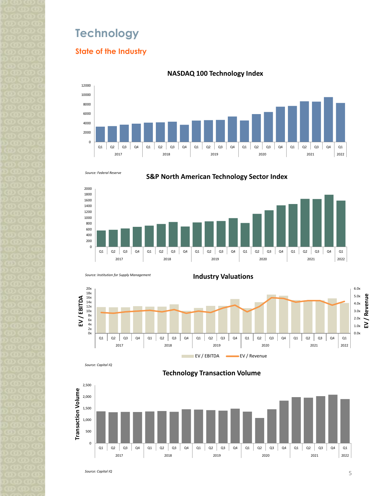# **Technology**

### **State of the Industry**



#### **NASDAQ 100 Technology Index**



2000

**S&P North American Technology Sector Index**





*Source: Capital IQ*

**Technology Transaction Volume**



*Source: Capital IQ*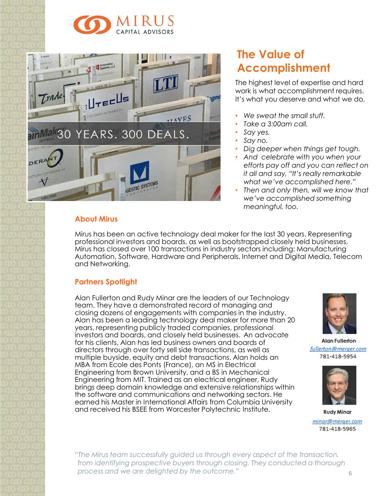



# **The Value of Accomplishment**

The highest level of expertise and hard work is what accomplishment requires. It's what you deserve and what we do.

- *We sweat the small stuff.*
- *Take a 3:00am call.*
- *Say yes.*
- *Say no.*
- *Dig deeper when things get tough.*
- *And celebrate with you when your efforts pay off and you can reflect on it all and say, "It's really remarkable what we've accomplished here."*
- *Then and only then, will we know that we've accomplished something meaningful, too.*

### **About Mirus**

Mirus has been an active technology deal maker for the last 30 years. Representing professional investors and boards, as well as bootstrapped closely held businesses, Mirus has closed over 100 transactions in industry sectors including: Manufacturing Automation, Software, Hardware and Peripherals, Internet and Digital Media, Telecom and Networking.

### **Partners Spotlight**

Alan Fullerton and Rudy Minar are the leaders of our Technology team. They have a demonstrated record of managing and closing dozens of engagements with companies in the industry. Alan has been a leading technology deal maker for more than 20 years, representing publicly traded companies, professional investors and boards, and closely held businesses. An advocate for his clients, Alan has led business owners and boards of directors through over forty sell side transactions, as well as multiple buyside, equity and debt transactions. Alan holds an MBA from Ecole des Ponts (France), an MS in Electrical Engineering from Brown University, and a BS in Mechanical Engineering from MIT. Trained as an electrical engineer, Rudy brings deep domain knowledge and extensive relationships within the software and communications and networking sectors. He earned his Master in International Affairs from Columbia University and received his BSEE from Worcester Polytechnic Institute.



**Alan Fullerton** fullerton@merger.com 781-418-5954



**Rudy Minar** minar@merger.com 781-418-5965

*"The Mirus team successfully guided us through every aspect of the transaction, from identifying prospective buyers through closing. They conducted a thorough process and we are delighted by the outcome."*